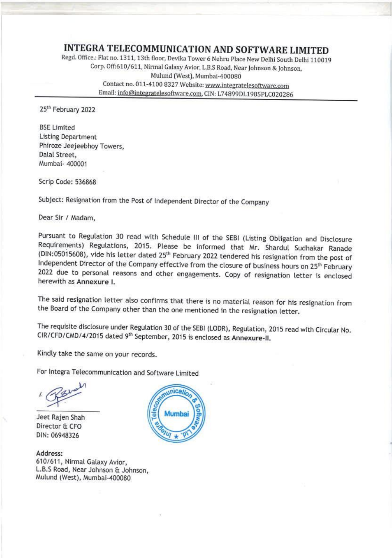INTEGRA TELECOMMUNICATION AND SOFTWARE LIMITED<br>
Regd. Office.: Flat no. 1311, 13th floor, Devika Tower 6 Nehru Place New Delhi South Delhi 110019<br>
Corp. Off:610/611, Nirmal Galaxy Avior, L.B.S Road, Near Johnson & Johnson,

25<sup>th</sup> February 2022

BSE Limited<br>Listing Department<br>Phiroze Jeejeebhoy Towers,<br>Dalal Street,<br>'Mumbai- 400001

Scrip Code: 536868

Subject: Resignation from the Post of Independent Director of the Company

Dear Sir / Madam,

Pursuant to Regulation 30 read with Schedule III of the SEBI (Listing Obligation and Disclosure Requirements) Regulations, 2015. Please be informed that Mr. Shardul Sudhakar Ranade (DIN:05015608), vide his letter dated 25

The said resignation letter also confirms that there is no material reason for his resignation from the Board of the Company other than the one mentioned in the resignation letter.

The requisite disclosure under Regulation 30 of the SEBI (LODR), Regulation, 2015 read with Circular No.<br>CIR/CFD/CMD/4/2015 dated 9<sup>th</sup> September, 2015 is enclosed as Annexure-II.

Kindly take the same on your records.

For Integra Telecommunication and Software Limited

Kindly tak<br>For Integra<br>K<br>K<br>K<br>K<br>K<br>K<br>K<br>K<br>K<br>K

Jeet Rajen Shah Director & CFO<br>DIN: 06948326

Address: 610/611, Nirmal Galaxy Avior, L.B.S Road, Near Johnson & Johnson, 'Mulund (West), Mumbai-400080



 $\label{eq:3.1} \begin{array}{ccccc} \mathcal{E} & & & \\ & & & \\ \end{array}$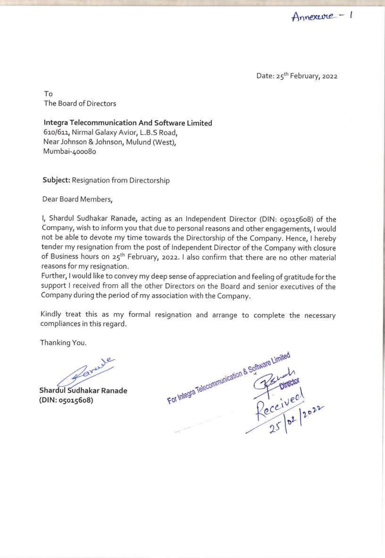Date: 25<sup>th</sup> February, 2022

To The Board of Directors

Integra Telecommunication And Software Limited<br>610/611, Nirmal Galaxy Avior, L.B.S Road,<br>Near Johnson & Johnson, Mulund (West),<br>Mumbai-400080

Subject: Resignation from Directorship

Dear Board Members,

|, Shardul Sudhakar Ranade, acting as an Independent Director (DIN: 05015608) of the Company, wish to inform you that due to personal reasons and other engagements, I would not be able to devote my time towards the Directorship of the Company. Hence, I hereby tender my resignation from the post of Independent Director of the Company with closure of Business hours on 25<sup>th</sup> February, 2022. I also confirm that there are no other material reasons for my resignation.<br>Further, I would like to convey my deep sense of appreciation and feeling of gratitude for the

support I received from all the other Directors on the Board and senior executives of the Company during the period of my association with the Company.

Kindly treat this as my formal resignation and arrange to complete the necessary compliances in this regard.

Thanking You.

(DIN: 05015608)